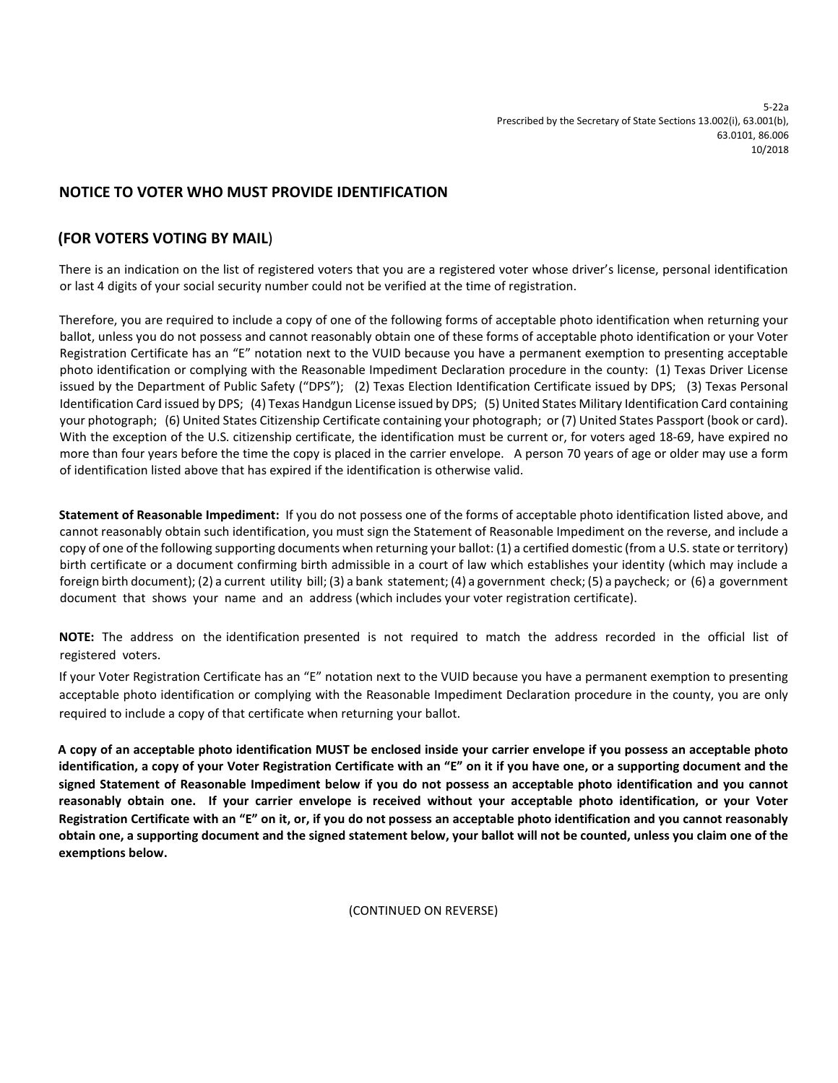## **NOTICE TO VOTER WHO MUST PROVIDE IDENTIFICATION**

## **(FOR VOTERS VOTING BY MAIL**)

There is an indication on the list of registered voters that you are a registered voter whose driver's license, personal identification or last 4 digits of your social security number could not be verified at the time of registration.

Therefore, you are required to include a copy of one of the following forms of acceptable photo identification when returning your ballot, unless you do not possess and cannot reasonably obtain one of these forms of acceptable photo identification or your Voter Registration Certificate has an "E" notation next to the VUID because you have a permanent exemption to presenting acceptable photo identification or complying with the Reasonable Impediment Declaration procedure in the county: (1) Texas Driver License issued by the Department of Public Safety ("DPS"); (2) Texas Election Identification Certificate issued by DPS; (3) Texas Personal Identification Card issued by DPS; (4) Texas Handgun License issued by DPS; (5) United States Military Identification Card containing your photograph; (6) United States Citizenship Certificate containing your photograph; or (7) United States Passport (book or card). With the exception of the U.S. citizenship certificate, the identification must be current or, for voters aged 18-69, have expired no more than four years before the time the copy is placed in the carrier envelope. A person 70 years of age or older may use a form of identification listed above that has expired if the identification is otherwise valid.

**Statement of Reasonable Impediment:** If you do not possess one of the forms of acceptable photo identification listed above, and cannot reasonably obtain such identification, you must sign the Statement of Reasonable Impediment on the reverse, and include a copy of one of the following supporting documents when returning your ballot: (1) a certified domestic (from a U.S. state or territory) birth certificate or a document confirming birth admissible in a court of law which establishes your identity (which may include a foreign birth document); (2) a current utility bill; (3) a bank statement; (4) a government check; (5) a paycheck; or (6) a government document that shows your name and an address (which includes your voter registration certificate).

**NOTE:** The address on the identification presented is not required to match the address recorded in the official list of registered voters.

If your Voter Registration Certificate has an "E" notation next to the VUID because you have a permanent exemption to presenting acceptable photo identification or complying with the Reasonable Impediment Declaration procedure in the county, you are only required to include a copy of that certificate when returning your ballot.

**A copy of an acceptable photo identification MUST be enclosed inside your carrier envelope if you possess an acceptable photo identification, a copy of your Voter Registration Certificate with an "E" on it if you have one, or a supporting document and the signed Statement of Reasonable Impediment below if you do not possess an acceptable photo identification and you cannot reasonably obtain one. If your carrier envelope is received without your acceptable photo identification, or your Voter Registration Certificate with an "E" on it, or, if you do not possess an acceptable photo identification and you cannot reasonably obtain one, a supporting document and the signed statement below, your ballot will not be counted, unless you claim one of the exemptions below.**

(CONTINUED ON REVERSE)